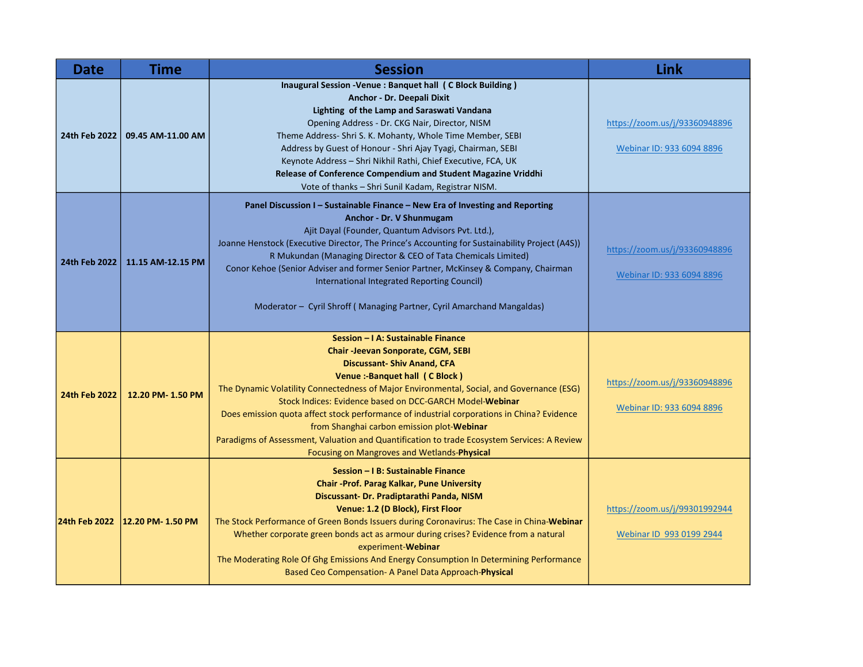| <b>Date</b>   | <b>Time</b>                     | <b>Session</b>                                                                                                                                                                                                                                                                                                                                                                                                                                                                                                                                                                                             | Link                                                       |
|---------------|---------------------------------|------------------------------------------------------------------------------------------------------------------------------------------------------------------------------------------------------------------------------------------------------------------------------------------------------------------------------------------------------------------------------------------------------------------------------------------------------------------------------------------------------------------------------------------------------------------------------------------------------------|------------------------------------------------------------|
| 24th Feb 2022 | 09.45 AM-11.00 AM               | Inaugural Session -Venue : Banquet hall (C Block Building)<br>Anchor - Dr. Deepali Dixit<br>Lighting of the Lamp and Saraswati Vandana<br>Opening Address - Dr. CKG Nair, Director, NISM<br>Theme Address- Shri S. K. Mohanty, Whole Time Member, SEBI<br>Address by Guest of Honour - Shri Ajay Tyagi, Chairman, SEBI<br>Keynote Address - Shri Nikhil Rathi, Chief Executive, FCA, UK<br>Release of Conference Compendium and Student Magazine Vriddhi<br>Vote of thanks - Shri Sunil Kadam, Registrar NISM.                                                                                             | https://zoom.us/j/93360948896<br>Webinar ID: 933 6094 8896 |
| 24th Feb 2022 | 11.15 AM-12.15 PM               | Panel Discussion I - Sustainable Finance - New Era of Investing and Reporting<br>Anchor - Dr. V Shunmugam<br>Ajit Dayal (Founder, Quantum Advisors Pvt. Ltd.),<br>Joanne Henstock (Executive Director, The Prince's Accounting for Sustainability Project (A4S))<br>R Mukundan (Managing Director & CEO of Tata Chemicals Limited)<br>Conor Kehoe (Senior Adviser and former Senior Partner, McKinsey & Company, Chairman<br>International Integrated Reporting Council)<br>Moderator - Cyril Shroff (Managing Partner, Cyril Amarchand Mangaldas)                                                         | https://zoom.us/j/93360948896<br>Webinar ID: 933 6094 8896 |
| 24th Feb 2022 | 12.20 PM-1.50 PM                | Session - I A: Sustainable Finance<br><b>Chair-Jeevan Sonporate, CGM, SEBI</b><br><b>Discussant- Shiv Anand, CFA</b><br>Venue :- Banquet hall (C Block)<br>The Dynamic Volatility Connectedness of Major Environmental, Social, and Governance (ESG)<br>Stock Indices: Evidence based on DCC-GARCH Model-Webinar<br>Does emission quota affect stock performance of industrial corporations in China? Evidence<br>from Shanghai carbon emission plot-Webinar<br>Paradigms of Assessment, Valuation and Quantification to trade Ecosystem Services: A Review<br>Focusing on Mangroves and Wetlands-Physical | https://zoom.us/j/93360948896<br>Webinar ID: 933 6094 8896 |
|               | 24th Feb 2022 12.20 PM- 1.50 PM | Session - I B: Sustainable Finance<br><b>Chair -Prof. Parag Kalkar, Pune University</b><br>Discussant- Dr. Pradiptarathi Panda, NISM<br>Venue: 1.2 (D Block), First Floor<br>The Stock Performance of Green Bonds Issuers during Coronavirus: The Case in China-Webinar<br>Whether corporate green bonds act as armour during crises? Evidence from a natural<br>experiment-Webinar<br>The Moderating Role Of Ghg Emissions And Energy Consumption In Determining Performance<br>Based Ceo Compensation- A Panel Data Approach-Physical                                                                    | https://zoom.us/j/99301992944<br>Webinar ID 993 0199 2944  |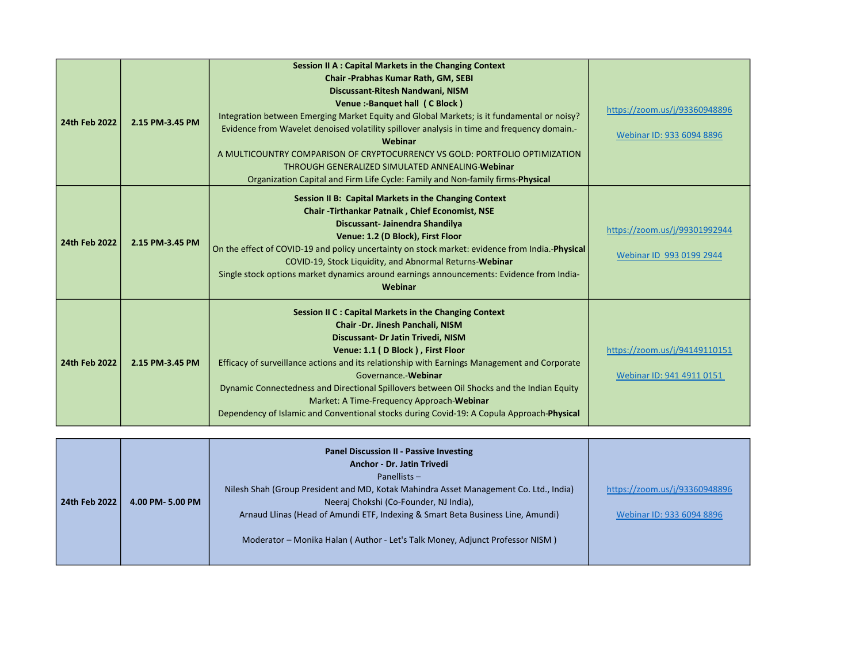| 24th Feb 2022 | 2.15 PM-3.45 PM | Session II A : Capital Markets in the Changing Context<br>Chair - Prabhas Kumar Rath, GM, SEBI<br>Discussant-Ritesh Nandwani, NISM<br>Venue:-Banquet hall (C Block)<br>Integration between Emerging Market Equity and Global Markets; is it fundamental or noisy?<br>Evidence from Wavelet denoised volatility spillover analysis in time and frequency domain.-<br>Webinar<br>A MULTICOUNTRY COMPARISON OF CRYPTOCURRENCY VS GOLD: PORTFOLIO OPTIMIZATION<br>THROUGH GENERALIZED SIMULATED ANNEALING-Webinar<br>Organization Capital and Firm Life Cycle: Family and Non-family firms-Physical | https://zoom.us/j/93360948896<br>Webinar ID: 933 6094 8896 |
|---------------|-----------------|-------------------------------------------------------------------------------------------------------------------------------------------------------------------------------------------------------------------------------------------------------------------------------------------------------------------------------------------------------------------------------------------------------------------------------------------------------------------------------------------------------------------------------------------------------------------------------------------------|------------------------------------------------------------|
| 24th Feb 2022 | 2.15 PM-3.45 PM | Session II B: Capital Markets in the Changing Context<br>Chair - Tirthankar Patnaik, Chief Economist, NSE<br>Discussant- Jainendra Shandilya<br>Venue: 1.2 (D Block), First Floor<br>On the effect of COVID-19 and policy uncertainty on stock market: evidence from India.-Physical<br>COVID-19, Stock Liquidity, and Abnormal Returns-Webinar<br>Single stock options market dynamics around earnings announcements: Evidence from India-<br>Webinar                                                                                                                                          | https://zoom.us/j/99301992944<br>Webinar ID 993 0199 2944  |
| 24th Feb 2022 | 2.15 PM-3.45 PM | Session II C : Capital Markets in the Changing Context<br>Chair -Dr. Jinesh Panchali, NISM<br>Discussant- Dr Jatin Trivedi, NISM<br>Venue: 1.1 (D Block), First Floor<br>Efficacy of surveillance actions and its relationship with Earnings Management and Corporate<br>Governance.-Webinar<br>Dynamic Connectedness and Directional Spillovers between Oil Shocks and the Indian Equity<br>Market: A Time-Frequency Approach-Webinar<br>Dependency of Islamic and Conventional stocks during Covid-19: A Copula Approach-Physical                                                             | https://zoom.us/j/94149110151<br>Webinar ID: 941 4911 0151 |

|               |                 | <b>Panel Discussion II - Passive Investing</b><br><b>Anchor - Dr. Jatin Trivedi</b><br>Panellists $-$ |                               |
|---------------|-----------------|-------------------------------------------------------------------------------------------------------|-------------------------------|
|               |                 | Nilesh Shah (Group President and MD, Kotak Mahindra Asset Management Co. Ltd., India)                 | https://zoom.us/j/93360948896 |
| 24th Feb 2022 | 4.00 PM-5.00 PM | Neeraj Chokshi (Co-Founder, NJ India),                                                                |                               |
|               |                 | Arnaud Llinas (Head of Amundi ETF, Indexing & Smart Beta Business Line, Amundi)                       | Webinar ID: 933 6094 8896     |
|               |                 | Moderator - Monika Halan (Author - Let's Talk Money, Adjunct Professor NISM)                          |                               |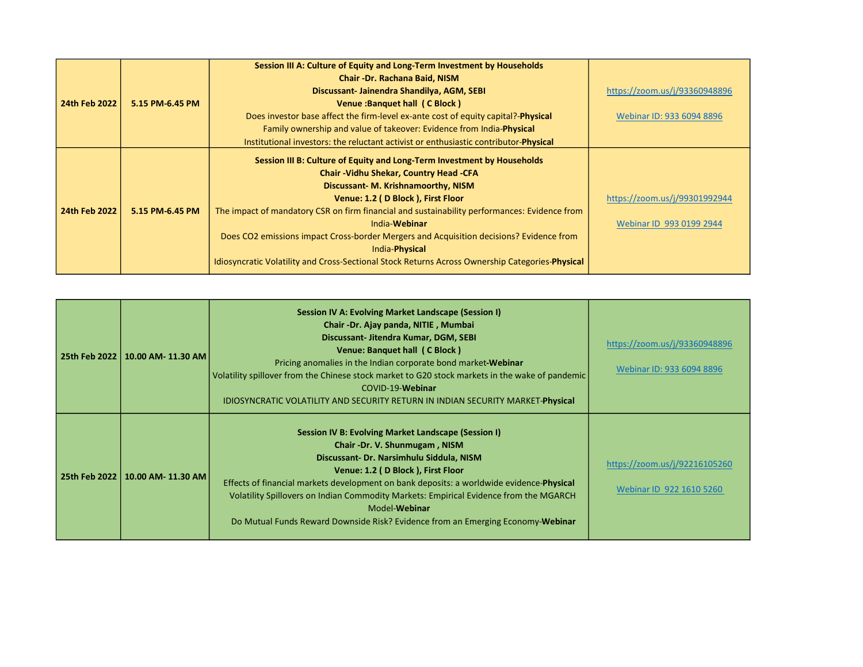|               |                 | Session III A: Culture of Equity and Long-Term Investment by Households                         |                               |
|---------------|-----------------|-------------------------------------------------------------------------------------------------|-------------------------------|
|               |                 | Chair - Dr. Rachana Baid, NISM                                                                  |                               |
|               |                 | Discussant-Jainendra Shandilya, AGM, SEBI                                                       | https://zoom.us/j/93360948896 |
| 24th Feb 2022 | 5.15 PM-6.45 PM | Venue: Banquet hall (C Block)                                                                   |                               |
|               |                 | Does investor base affect the firm-level ex-ante cost of equity capital?- <b>Physical</b>       | Webinar ID: 933 6094 8896     |
|               |                 | Family ownership and value of takeover: Evidence from India-Physical                            |                               |
|               |                 | Institutional investors: the reluctant activist or enthusiastic contributor- <b>Physical</b>    |                               |
|               |                 | Session III B: Culture of Equity and Long-Term Investment by Households                         |                               |
|               |                 | <b>Chair -Vidhu Shekar, Country Head -CFA</b>                                                   |                               |
|               |                 | Discussant- M. Krishnamoorthy, NISM                                                             |                               |
|               |                 | Venue: 1.2 (D Block), First Floor                                                               | https://zoom.us/j/99301992944 |
| 24th Feb 2022 | 5.15 PM-6.45 PM | The impact of mandatory CSR on firm financial and sustainability performances: Evidence from    |                               |
|               |                 | India-Webinar                                                                                   | Webinar ID 993 0199 2944      |
|               |                 | Does CO2 emissions impact Cross-border Mergers and Acquisition decisions? Evidence from         |                               |
|               |                 | India-Physical                                                                                  |                               |
|               |                 | Idiosyncratic Volatility and Cross-Sectional Stock Returns Across Ownership Categories-Physical |                               |

| 25th Feb 2022 | 10.00 AM- 11.30 AM | Session IV A: Evolving Market Landscape (Session I)<br>Chair -Dr. Ajay panda, NITIE, Mumbai<br>Discussant- Jitendra Kumar, DGM, SEBI<br>Venue: Banquet hall (C Block)<br>Pricing anomalies in the Indian corporate bond market-Webinar<br>Volatility spillover from the Chinese stock market to G20 stock markets in the wake of pandemic<br>COVID-19-Webinar<br><b>IDIOSYNCRATIC VOLATILITY AND SECURITY RETURN IN INDIAN SECURITY MARKET-Physical</b>                | https://zoom.us/j/93360948896<br>Webinar ID: 933 6094 8896 |
|---------------|--------------------|------------------------------------------------------------------------------------------------------------------------------------------------------------------------------------------------------------------------------------------------------------------------------------------------------------------------------------------------------------------------------------------------------------------------------------------------------------------------|------------------------------------------------------------|
| 25th Feb 2022 | 10.00 AM- 11.30 AM | Session IV B: Evolving Market Landscape (Session I)<br>Chair -Dr. V. Shunmugam, NISM<br>Discussant- Dr. Narsimhulu Siddula, NISM<br>Venue: 1.2 (D Block), First Floor<br>Effects of financial markets development on bank deposits: a worldwide evidence- <b>Physical</b><br>Volatility Spillovers on Indian Commodity Markets: Empirical Evidence from the MGARCH<br>Model-Webinar<br>Do Mutual Funds Reward Downside Risk? Evidence from an Emerging Economy-Webinar | https://zoom.us/j/92216105260<br>Webinar ID 922 1610 5260  |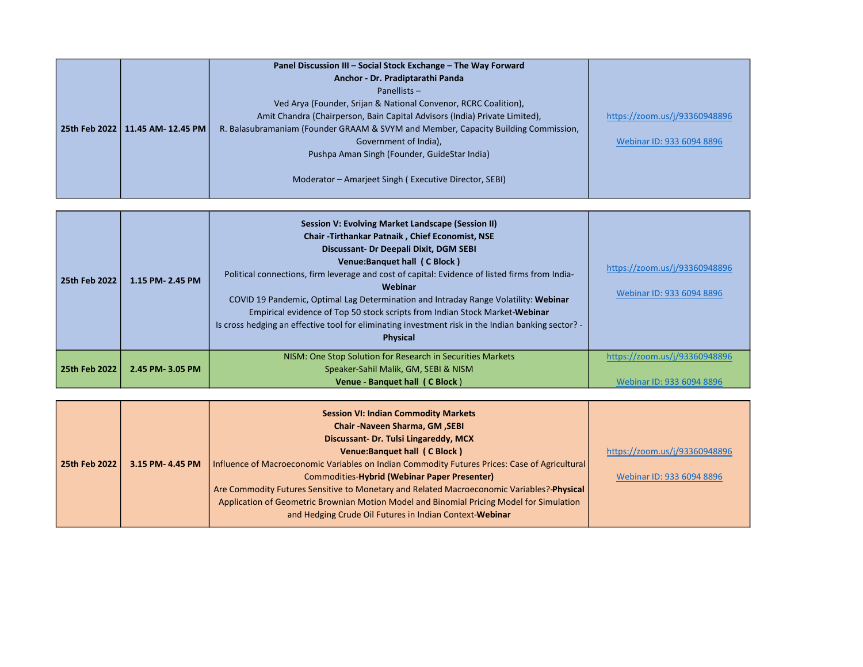|                                     | Panel Discussion III - Social Stock Exchange - The Way Forward<br>Anchor - Dr. Pradiptarathi Panda<br>Panellists $-$<br>Ved Arya (Founder, Srijan & National Convenor, RCRC Coalition),<br>Amit Chandra (Chairperson, Bain Capital Advisors (India) Private Limited), | https://zoom.us/j/93360948896 |
|-------------------------------------|-----------------------------------------------------------------------------------------------------------------------------------------------------------------------------------------------------------------------------------------------------------------------|-------------------------------|
| 25th Feb 2022<br>11.45 AM- 12.45 PM | R. Balasubramaniam (Founder GRAAM & SVYM and Member, Capacity Building Commission,<br>Government of India),<br>Pushpa Aman Singh (Founder, GuideStar India)<br>Moderator - Amarjeet Singh (Executive Director, SEBI)                                                  | Webinar ID: 933 6094 8896     |

| 25th Feb 2022 | 1.15 PM- 2.45 PM | <b>Session V: Evolving Market Landscape (Session II)</b><br><b>Chair - Tirthankar Patnaik, Chief Economist, NSE</b><br>Discussant- Dr Deepali Dixit, DGM SEBI<br>Venue:Banquet hall (C Block)<br>Political connections, firm leverage and cost of capital: Evidence of listed firms from India-<br><b>Webinar</b><br>COVID 19 Pandemic, Optimal Lag Determination and Intraday Range Volatility: Webinar<br>Empirical evidence of Top 50 stock scripts from Indian Stock Market-Webinar<br>Is cross hedging an effective tool for eliminating investment risk in the Indian banking sector? -<br><b>Physical</b> | https://zoom.us/j/93360948896<br>Webinar ID: 933 6094 8896 |
|---------------|------------------|------------------------------------------------------------------------------------------------------------------------------------------------------------------------------------------------------------------------------------------------------------------------------------------------------------------------------------------------------------------------------------------------------------------------------------------------------------------------------------------------------------------------------------------------------------------------------------------------------------------|------------------------------------------------------------|
| 25th Feb 2022 | 2.45 PM-3.05 PM  | NISM: One Stop Solution for Research in Securities Markets<br>Speaker-Sahil Malik, GM, SEBI & NISM<br>Venue - Banquet hall (C Block)                                                                                                                                                                                                                                                                                                                                                                                                                                                                             | https://zoom.us/j/93360948896<br>Webinar ID: 933 6094 8896 |

|               |                  | <b>Session VI: Indian Commodity Markets</b>                                                   |                               |
|---------------|------------------|-----------------------------------------------------------------------------------------------|-------------------------------|
|               |                  | <b>Chair-Naveen Sharma, GM, SEBI</b>                                                          |                               |
|               |                  | Discussant- Dr. Tulsi Lingareddy, MCX                                                         |                               |
|               |                  | Venue:Banquet hall (C Block)                                                                  | https://zoom.us/j/93360948896 |
| 25th Feb 2022 | 3.15 PM- 4.45 PM | Influence of Macroeconomic Variables on Indian Commodity Futures Prices: Case of Agricultural |                               |
|               |                  | Commodities-Hybrid (Webinar Paper Presenter)                                                  | Webinar ID: 933 6094 8896     |
|               |                  | Are Commodity Futures Sensitive to Monetary and Related Macroeconomic Variables?-Physical     |                               |
|               |                  | Application of Geometric Brownian Motion Model and Binomial Pricing Model for Simulation      |                               |
|               |                  | and Hedging Crude Oil Futures in Indian Context-Webinar                                       |                               |